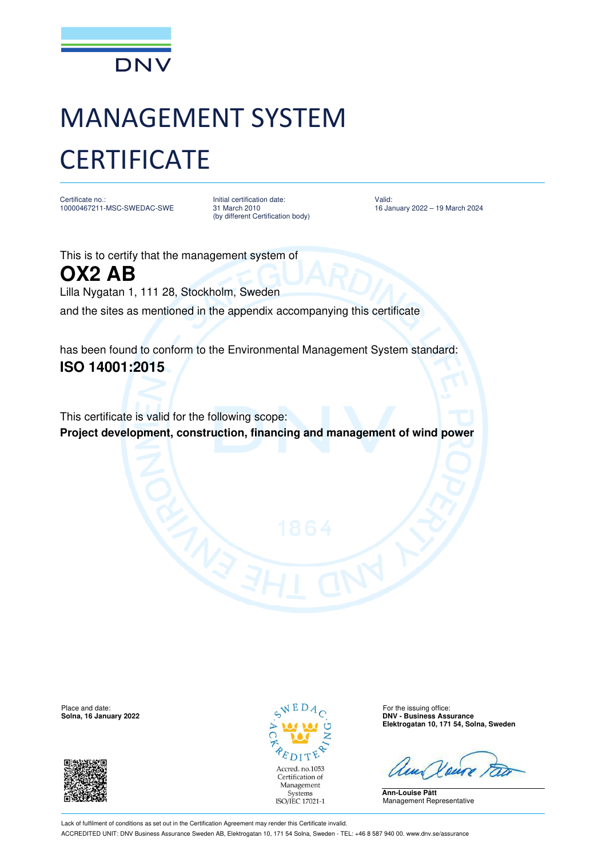

## MANAGEMENT SYSTEM **CERTIFICATE**

Certificate no.: 10000467211-MSC-SWEDAC-SWE Initial certification date: 31 March 2010 (by different Certification body) Valid: 16 January 2022 – 19 March 2024

This is to certify that the management system of **OX2 AB** Lilla Nygatan 1, 111 28, Stockholm, Sweden and the sites as mentioned in the appendix accompanying this certificate

has been found to conform to the Environmental Management System standard: **ISO 14001:2015**

This certificate is valid for the following scope: **Project development, construction, financing and management of wind power** 

Place and date: For the issuing office:  $\sqrt{E} D A_{\odot}$  For the issuing office:





**Solna, 16 January 2022 DNV - Business Assurance Elektrogatan 10, 171 54, Solna, Sweden**

**Ann-Louise Pått** Management Representative

Lack of fulfilment of conditions as set out in the Certification Agreement may render this Certificate invalid. ACCREDITED UNIT: DNV Business Assurance Sweden AB, Elektrogatan 10, 171 54 Solna, Sweden - TEL: +46 8 587 940 00. www.dnv.se/assurance